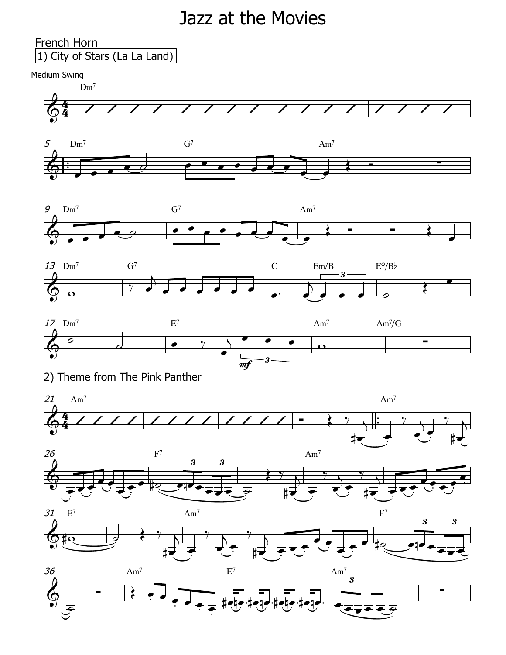## Jazz at the Movies



















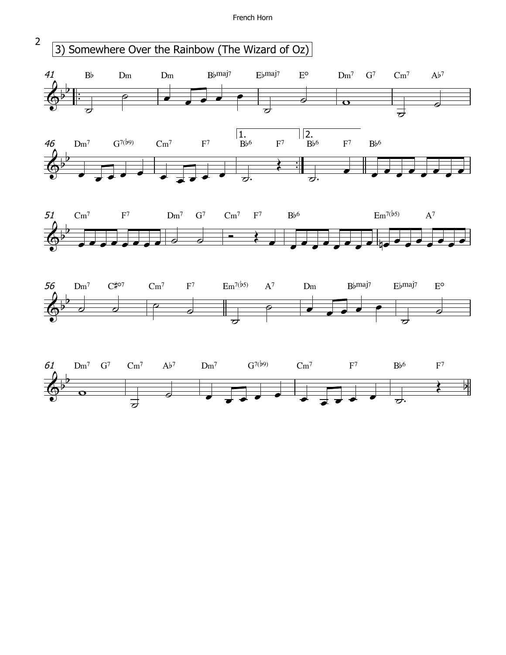French Horn

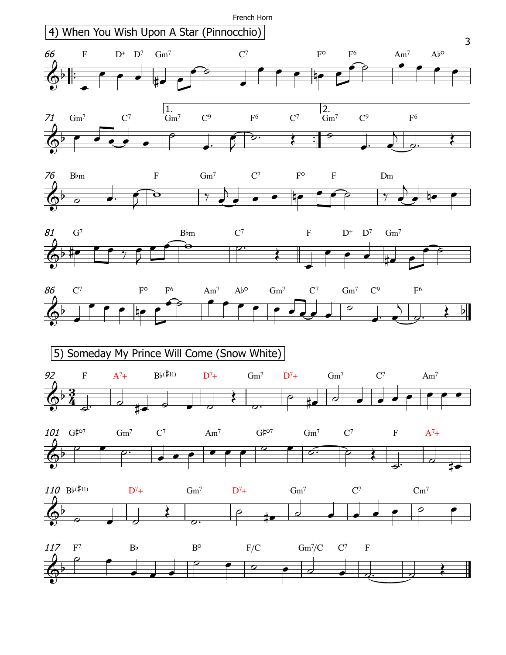